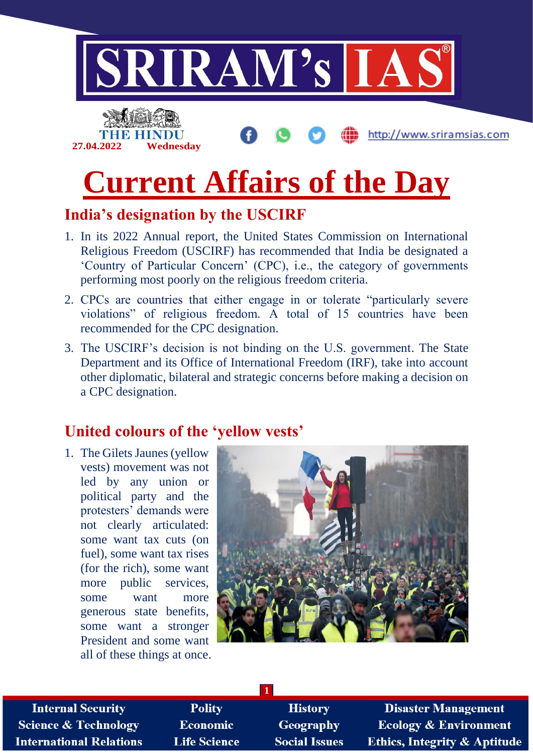

## **India's designation by the USCIRF**

- 1. In its 2022 Annual report, the United States Commission on International Religious Freedom (USCIRF) has recommended that India be designated a 'Country of Particular Concern' (CPC), i.e., the category of governments performing most poorly on the religious freedom criteria.
- 2. CPCs are countries that either engage in or tolerate "particularly severe violations" of religious freedom. A total of 15 countries have been recommended for the CPC designation.
- 3. The USCIRF's decision is not binding on the U.S. government. The State Department and its Office of International Freedom (IRF), take into account other diplomatic, bilateral and strategic concerns before making a decision on a CPC designation.

## **United colours of the 'yellow vests'**

1. The Gilets Jaunes (yellow vests) movement was not led by any union or political party and the protesters' demands were not clearly articulated: some want tax cuts (on fuel), some want tax rises (for the rich), some want more public services, some want more generous state benefits, some want a stronger President and some want all of these things at once.



**Internal Security Science & Technology International Relations** 

**Polity Economic Life Science** 

**History** Geography **Social Issues** 

**1**

**Disaster Management Ecology & Environment Ethics, Integrity & Aptitude**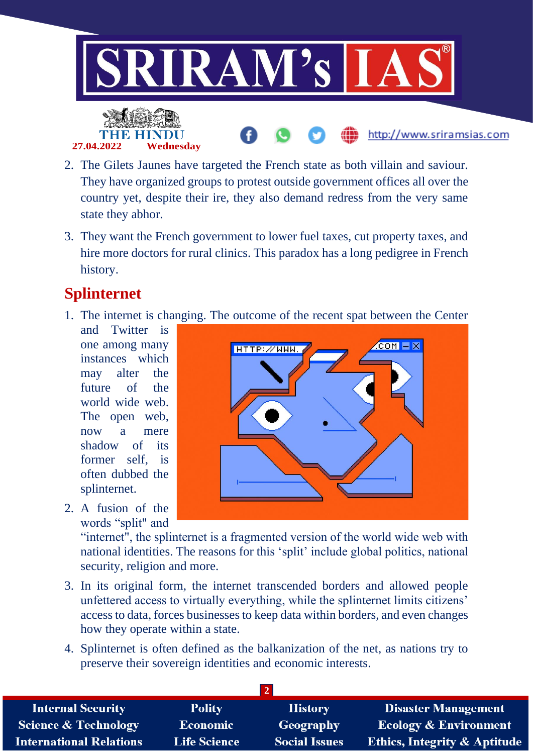

- 2. The Gilets Jaunes have targeted the French state as both villain and saviour. They have organized groups to protest outside government offices all over the country yet, despite their ire, they also demand redress from the very same state they abhor.
- 3. They want the French government to lower fuel taxes, cut property taxes, and hire more doctors for rural clinics. This paradox has a long pedigree in French history.

## **Splinternet**

1. The internet is changing. The outcome of the recent spat between the Center

and Twitter is one among many instances which may alter the future of the world wide web. The open web, now a mere shadow of its former self, is often dubbed the splinternet.

2. A fusion of the words "split" and



"internet", the splinternet is a fragmented version of the world wide web with national identities. The reasons for this 'split' include global politics, national security, religion and more.

- 3. In its original form, the internet transcended borders and allowed people unfettered access to virtually everything, while the splinternet limits citizens' access to data, forces businesses to keep data within borders, and even changes how they operate within a state.
- 4. Splinternet is often defined as the balkanization of the net, as nations try to preserve their sovereign identities and economic interests.

| <b>Internal Security</b>        | <b>Polity</b>       | <b>History</b>       | <b>Disaster Management</b>              |  |  |
|---------------------------------|---------------------|----------------------|-----------------------------------------|--|--|
| <b>Science &amp; Technology</b> | <b>Economic</b>     | Geography            | <b>Ecology &amp; Environment</b>        |  |  |
| <b>International Relations</b>  | <b>Life Science</b> | <b>Social Issues</b> | <b>Ethics, Integrity &amp; Aptitude</b> |  |  |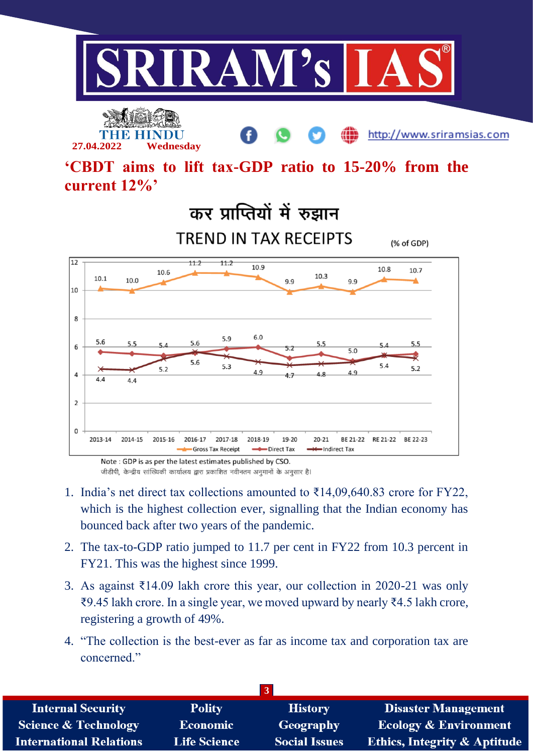

http://www.sriramsias.com

**'CBDT aims to lift tax-GDP ratio to 15-20% from the current 12%'**



Note: GDP is as per the latest estimates published by CSO.

**27.04.2022 Wednesday**

जीडीपी, केन्द्रीय सांख्यिकी कार्यालय द्वारा प्रकाशित नवीनतम अनुमानों के अनुसार है।

- 1. India's net direct tax collections amounted to ₹14,09,640.83 crore for FY22, which is the highest collection ever, signalling that the Indian economy has bounced back after two years of the pandemic.
- 2. The tax-to-GDP ratio jumped to 11.7 per cent in FY22 from 10.3 percent in FY21. This was the highest since 1999.
- 3. As against ₹14.09 lakh crore this year, our collection in 2020-21 was only ₹9.45 lakh crore. In a single year, we moved upward by nearly ₹4.5 lakh crore, registering a growth of 49%.
- 4. "The collection is the best-ever as far as income tax and corporation tax are concerned."

| $\vert 3 \vert$                 |                     |                      |                                         |  |  |
|---------------------------------|---------------------|----------------------|-----------------------------------------|--|--|
| <b>Internal Security</b>        | <b>Polity</b>       | <b>History</b>       | <b>Disaster Management</b>              |  |  |
| <b>Science &amp; Technology</b> | <b>Economic</b>     | Geography            | <b>Ecology &amp; Environment</b>        |  |  |
| <b>International Relations</b>  | <b>Life Science</b> | <b>Social Issues</b> | <b>Ethics, Integrity &amp; Aptitude</b> |  |  |